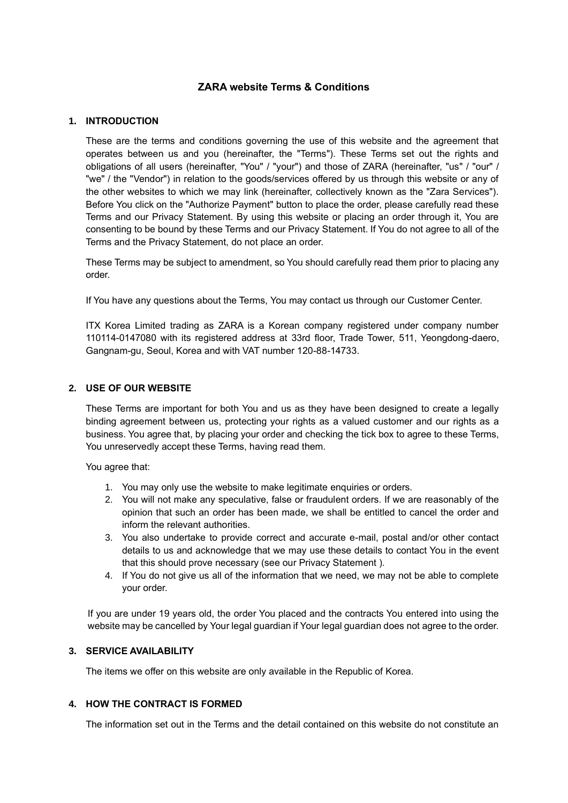# **ZARA website Terms & Conditions**

### **1. INTRODUCTION**

These are the terms and conditions governing the use of this website and the agreement that operates between us and you (hereinafter, the "Terms"). These Terms set out the rights and obligations of all users (hereinafter, "You" / "your") and those of ZARA (hereinafter, "us" / "our" / "we" / the "Vendor") in relation to the goods/services offered by us through this website or any of the other websites to which we may link (hereinafter, collectively known as the "Zara Services"). Before You click on the "Authorize Payment" button to place the order, please carefully read these Terms and our Privacy Statement. By using this website or placing an order through it, You are consenting to be bound by these Terms and our Privacy Statement. If You do not agree to all of the Terms and the Privacy Statement, do not place an order.

These Terms may be subject to amendment, so You should carefully read them prior to placing any order.

If You have any questions about the Terms, You may contact us through our Customer Center.

ITX Korea Limited trading as ZARA is a Korean company registered under company number 110114-0147080 with its registered address at 33rd floor, Trade Tower, 511, Yeongdong-daero, Gangnam-gu, Seoul, Korea and with VAT number 120-88-14733.

### **2. USE OF OUR WEBSITE**

These Terms are important for both You and us as they have been designed to create a legally binding agreement between us, protecting your rights as a valued customer and our rights as a business. You agree that, by placing your order and checking the tick box to agree to these Terms, You unreservedly accept these Terms, having read them.

You agree that:

- 1. You may only use the website to make legitimate enquiries or orders.
- 2. You will not make any speculative, false or fraudulent orders. If we are reasonably of the opinion that such an order has been made, we shall be entitled to cancel the order and inform the relevant authorities.
- 3. You also undertake to provide correct and accurate e-mail, postal and/or other contact details to us and acknowledge that we may use these details to contact You in the event that this should prove necessary (see our Privacy Statement ).
- 4. If You do not give us all of the information that we need, we may not be able to complete your order.

If you are under 19 years old, the order You placed and the contracts You entered into using the website may be cancelled by Your legal guardian if Your legal guardian does not agree to the order.

### **3. SERVICE AVAILABILITY**

The items we offer on this website are only available in the Republic of Korea.

### **4. HOW THE CONTRACT IS FORMED**

The information set out in the Terms and the detail contained on this website do not constitute an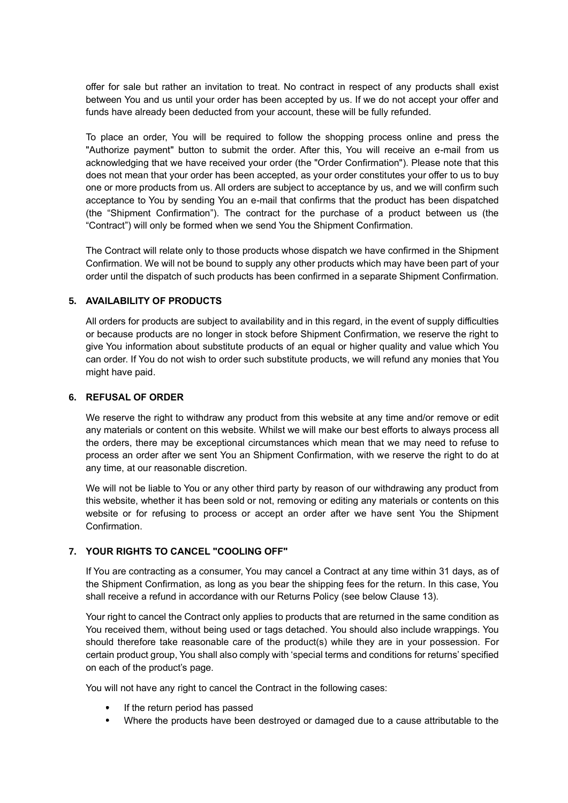offer for sale but rather an invitation to treat. No contract in respect of any products shall exist between You and us until your order has been accepted by us. If we do not accept your offer and funds have already been deducted from your account, these will be fully refunded.

To place an order, You will be required to follow the shopping process online and press the "Authorize payment" button to submit the order. After this, You will receive an e-mail from us acknowledging that we have received your order (the "Order Confirmation"). Please note that this does not mean that your order has been accepted, as your order constitutes your offer to us to buy one or more products from us. All orders are subject to acceptance by us, and we will confirm such acceptance to You by sending You an e-mail that confirms that the product has been dispatched (the "Shipment Confirmation"). The contract for the purchase of a product between us (the "Contract") will only be formed when we send You the Shipment Confirmation.

The Contract will relate only to those products whose dispatch we have confirmed in the Shipment Confirmation. We will not be bound to supply any other products which may have been part of your order until the dispatch of such products has been confirmed in a separate Shipment Confirmation.

### **5. AVAILABILITY OF PRODUCTS**

All orders for products are subject to availability and in this regard, in the event of supply difficulties or because products are no longer in stock before Shipment Confirmation, we reserve the right to give You information about substitute products of an equal or higher quality and value which You can order. If You do not wish to order such substitute products, we will refund any monies that You might have paid.

### **6. REFUSAL OF ORDER**

We reserve the right to withdraw any product from this website at any time and/or remove or edit any materials or content on this website. Whilst we will make our best efforts to always process all the orders, there may be exceptional circumstances which mean that we may need to refuse to process an order after we sent You an Shipment Confirmation, with we reserve the right to do at any time, at our reasonable discretion.

We will not be liable to You or any other third party by reason of our withdrawing any product from this website, whether it has been sold or not, removing or editing any materials or contents on this website or for refusing to process or accept an order after we have sent You the Shipment Confirmation.

### **7. YOUR RIGHTS TO CANCEL "COOLING OFF"**

If You are contracting as a consumer, You may cancel a Contract at any time within 31 days, as of the Shipment Confirmation, as long as you bear the shipping fees for the return. In this case, You shall receive a refund in accordance with our Returns Policy (see below Clause 13).

Your right to cancel the Contract only applies to products that are returned in the same condition as You received them, without being used or tags detached. You should also include wrappings. You should therefore take reasonable care of the product(s) while they are in your possession. For certain product group, You shall also comply with 'special terms and conditions for returns' specified on each of the product's page.

You will not have any right to cancel the Contract in the following cases:

- If the return period has passed
- Where the products have been destroyed or damaged due to a cause attributable to the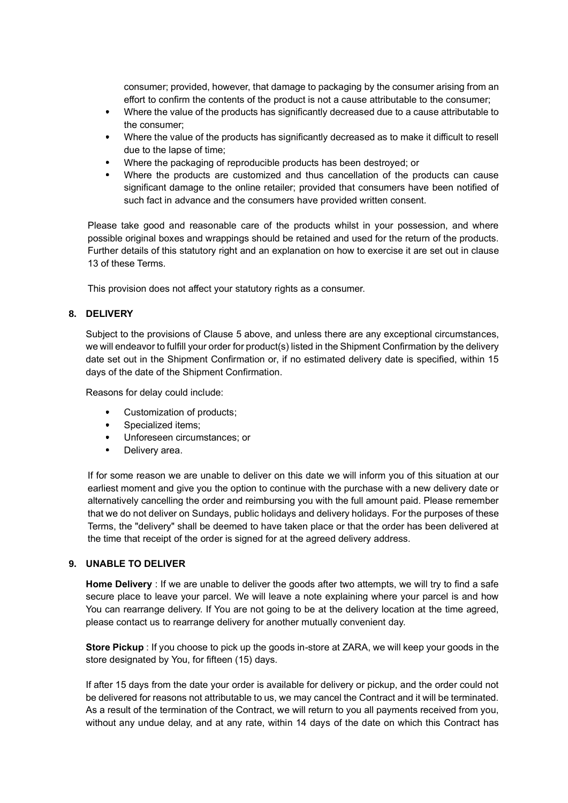consumer; provided, however, that damage to packaging by the consumer arising from an effort to confirm the contents of the product is not a cause attributable to the consumer;

- Where the value of the products has significantly decreased due to a cause attributable to the consumer;
- Where the value of the products has significantly decreased as to make it difficult to resell due to the lapse of time;
- Where the packaging of reproducible products has been destroyed; or
- Where the products are customized and thus cancellation of the products can cause significant damage to the online retailer; provided that consumers have been notified of such fact in advance and the consumers have provided written consent.

Please take good and reasonable care of the products whilst in your possession, and where possible original boxes and wrappings should be retained and used for the return of the products. Further details of this statutory right and an explanation on how to exercise it are set out in clause 13 of these Terms.

This provision does not affect your statutory rights as a consumer.

### **8. DELIVERY**

Subject to the provisions of Clause 5 above, and unless there are any exceptional circumstances, we will endeavor to fulfill your order for product(s) listed in the Shipment Confirmation by the delivery date set out in the Shipment Confirmation or, if no estimated delivery date is specified, within 15 days of the date of the Shipment Confirmation.

Reasons for delay could include:

- Customization of products;
- $\bullet$ Specialized items:
- Unforeseen circumstances; or
- Delivery area.

If for some reason we are unable to deliver on this date we will inform you of this situation at our earliest moment and give you the option to continue with the purchase with a new delivery date or alternatively cancelling the order and reimbursing you with the full amount paid. Please remember that we do not deliver on Sundays, public holidays and delivery holidays. For the purposes of these Terms, the "delivery" shall be deemed to have taken place or that the order has been delivered at the time that receipt of the order is signed for at the agreed delivery address.

## **9. UNABLE TO DELIVER**

**Home Delivery** : If we are unable to deliver the goods after two attempts, we will try to find a safe secure place to leave your parcel. We will leave a note explaining where your parcel is and how You can rearrange delivery. If You are not going to be at the delivery location at the time agreed, please contact us to rearrange delivery for another mutually convenient day.

**Store Pickup** : If you choose to pick up the goods in-store at ZARA, we will keep your goods in the store designated by You, for fifteen (15) days.

If after 15 days from the date your order is available for delivery or pickup, and the order could not be delivered for reasons not attributable to us, we may cancel the Contract and it will be terminated. As a result of the termination of the Contract, we will return to you all payments received from you, without any undue delay, and at any rate, within 14 days of the date on which this Contract has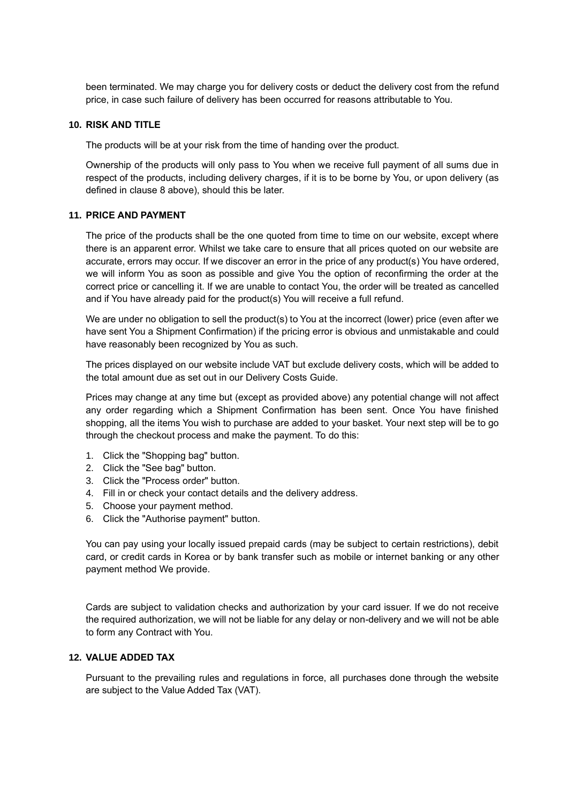been terminated. We may charge you for delivery costs or deduct the delivery cost from the refund price, in case such failure of delivery has been occurred for reasons attributable to You.

## **10. RISK AND TITLE**

The products will be at your risk from the time of handing over the product.

Ownership of the products will only pass to You when we receive full payment of all sums due in respect of the products, including delivery charges, if it is to be borne by You, or upon delivery (as defined in clause 8 above), should this be later.

### **11. PRICE AND PAYMENT**

The price of the products shall be the one quoted from time to time on our website, except where there is an apparent error. Whilst we take care to ensure that all prices quoted on our website are accurate, errors may occur. If we discover an error in the price of any product(s) You have ordered, we will inform You as soon as possible and give You the option of reconfirming the order at the correct price or cancelling it. If we are unable to contact You, the order will be treated as cancelled and if You have already paid for the product(s) You will receive a full refund.

We are under no obligation to sell the product(s) to You at the incorrect (lower) price (even after we have sent You a Shipment Confirmation) if the pricing error is obvious and unmistakable and could have reasonably been recognized by You as such.

The prices displayed on our website include VAT but exclude delivery costs, which will be added to the total amount due as set out in our Delivery Costs Guide.

Prices may change at any time but (except as provided above) any potential change will not affect any order regarding which a Shipment Confirmation has been sent. Once You have finished shopping, all the items You wish to purchase are added to your basket. Your next step will be to go through the checkout process and make the payment. To do this:

- 1. Click the "Shopping bag" button.
- 2. Click the "See bag" button.
- 3. Click the "Process order" button.
- 4. Fill in or check your contact details and the delivery address.
- 5. Choose your payment method.
- 6. Click the "Authorise payment" button.

You can pay using your locally issued prepaid cards (may be subject to certain restrictions), debit card, or credit cards in Korea or by bank transfer such as mobile or internet banking or any other payment method We provide.

Cards are subject to validation checks and authorization by your card issuer. If we do not receive the required authorization, we will not be liable for any delay or non-delivery and we will not be able to form any Contract with You.

## **12. VALUE ADDED TAX**

Pursuant to the prevailing rules and regulations in force, all purchases done through the website are subject to the Value Added Tax (VAT).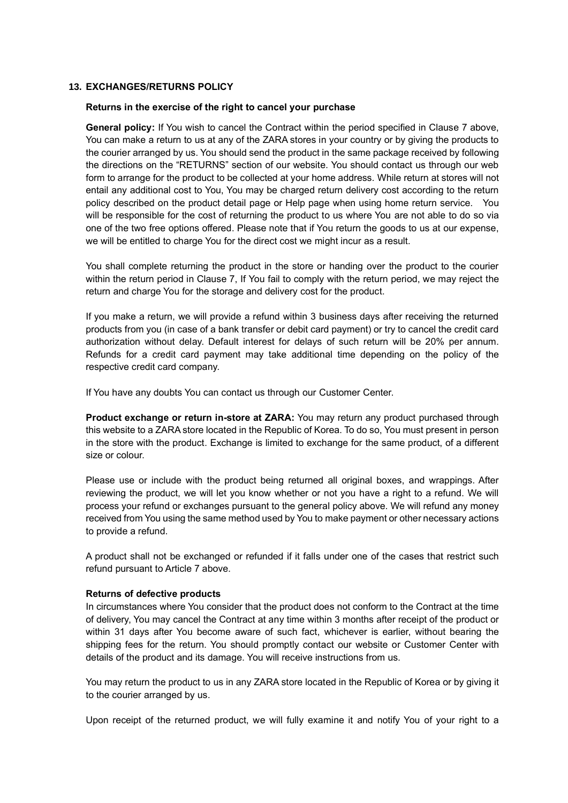### **13. EXCHANGES/RETURNS POLICY**

#### **Returns in the exercise of the right to cancel your purchase**

**General policy:** If You wish to cancel the Contract within the period specified in Clause 7 above, You can make a return to us at any of the ZARA stores in your country or by giving the products to the courier arranged by us. You should send the product in the same package received by following the directions on the "RETURNS" section of our website. You should contact us through our web form to arrange for the product to be collected at your home address. While return at stores will not entail any additional cost to You, You may be charged return delivery cost according to the return policy described on the product detail page or Help page when using home return service. You will be responsible for the cost of returning the product to us where You are not able to do so via one of the two free options offered. Please note that if You return the goods to us at our expense, we will be entitled to charge You for the direct cost we might incur as a result.

You shall complete returning the product in the store or handing over the product to the courier within the return period in Clause 7, If You fail to comply with the return period, we may reject the return and charge You for the storage and delivery cost for the product.

If you make a return, we will provide a refund within 3 business days after receiving the returned products from you (in case of a bank transfer or debit card payment) or try to cancel the credit card authorization without delay. Default interest for delays of such return will be 20% per annum. Refunds for a credit card payment may take additional time depending on the policy of the respective credit card company.

If You have any doubts You can contact us through our Customer Center.

**Product exchange or return in-store at ZARA:** You may return any product purchased through this website to a ZARA store located in the Republic of Korea. To do so, You must present in person in the store with the product. Exchange is limited to exchange for the same product, of a different size or colour.

Please use or include with the product being returned all original boxes, and wrappings. After reviewing the product, we will let you know whether or not you have a right to a refund. We will process your refund or exchanges pursuant to the general policy above. We will refund any money received from You using the same method used by You to make payment or other necessary actions to provide a refund.

A product shall not be exchanged or refunded if it falls under one of the cases that restrict such refund pursuant to Article 7 above.

#### **Returns of defective products**

In circumstances where You consider that the product does not conform to the Contract at the time of delivery, You may cancel the Contract at any time within 3 months after receipt of the product or within 31 days after You become aware of such fact, whichever is earlier, without bearing the shipping fees for the return. You should promptly contact our website or Customer Center with details of the product and its damage. You will receive instructions from us.

You may return the product to us in any ZARA store located in the Republic of Korea or by giving it to the courier arranged by us.

Upon receipt of the returned product, we will fully examine it and notify You of your right to a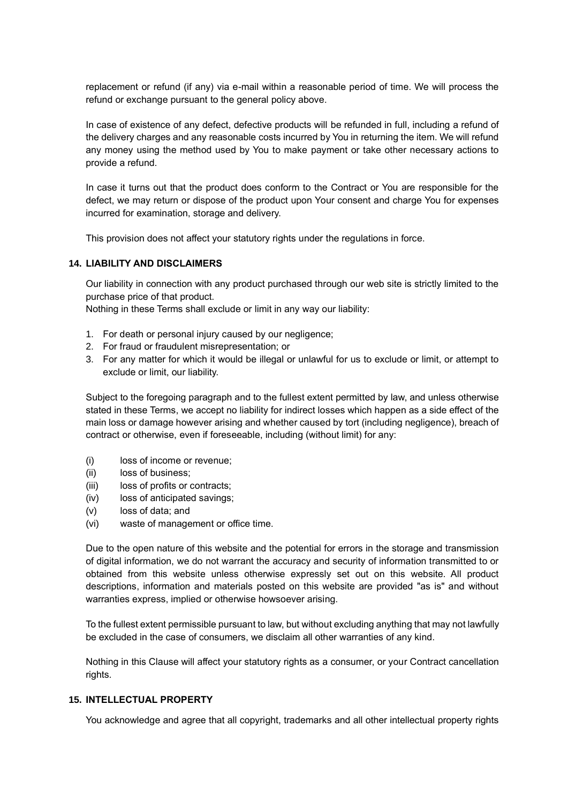replacement or refund (if any) via e-mail within a reasonable period of time. We will process the refund or exchange pursuant to the general policy above.

In case of existence of any defect, defective products will be refunded in full, including a refund of the delivery charges and any reasonable costs incurred by You in returning the item. We will refund any money using the method used by You to make payment or take other necessary actions to provide a refund.

In case it turns out that the product does conform to the Contract or You are responsible for the defect, we may return or dispose of the product upon Your consent and charge You for expenses incurred for examination, storage and delivery.

This provision does not affect your statutory rights under the regulations in force.

### **14. LIABILITY AND DISCLAIMERS**

Our liability in connection with any product purchased through our web site is strictly limited to the purchase price of that product.

Nothing in these Terms shall exclude or limit in any way our liability:

- 1. For death or personal injury caused by our negligence;
- 2. For fraud or fraudulent misrepresentation; or
- 3. For any matter for which it would be illegal or unlawful for us to exclude or limit, or attempt to exclude or limit, our liability.

Subject to the foregoing paragraph and to the fullest extent permitted by law, and unless otherwise stated in these Terms, we accept no liability for indirect losses which happen as a side effect of the main loss or damage however arising and whether caused by tort (including negligence), breach of contract or otherwise, even if foreseeable, including (without limit) for any:

- (i) loss of income or revenue;
- (ii) loss of business;
- (iii) loss of profits or contracts;
- (iv) loss of anticipated savings;
- (v) loss of data; and
- (vi) waste of management or office time.

Due to the open nature of this website and the potential for errors in the storage and transmission of digital information, we do not warrant the accuracy and security of information transmitted to or obtained from this website unless otherwise expressly set out on this website. All product descriptions, information and materials posted on this website are provided "as is" and without warranties express, implied or otherwise howsoever arising.

To the fullest extent permissible pursuant to law, but without excluding anything that may not lawfully be excluded in the case of consumers, we disclaim all other warranties of any kind.

Nothing in this Clause will affect your statutory rights as a consumer, or your Contract cancellation rights.

### **15. INTELLECTUAL PROPERTY**

You acknowledge and agree that all copyright, trademarks and all other intellectual property rights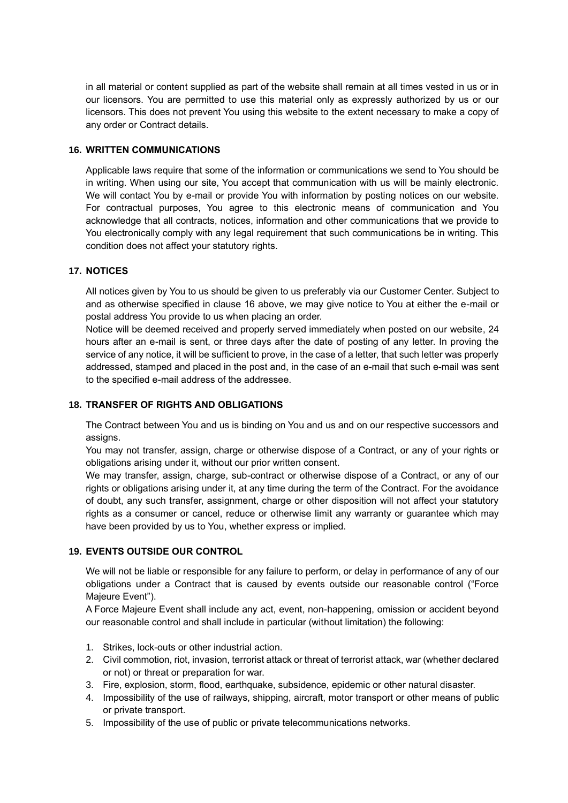in all material or content supplied as part of the website shall remain at all times vested in us or in our licensors. You are permitted to use this material only as expressly authorized by us or our licensors. This does not prevent You using this website to the extent necessary to make a copy of any order or Contract details.

### **16. WRITTEN COMMUNICATIONS**

Applicable laws require that some of the information or communications we send to You should be in writing. When using our site, You accept that communication with us will be mainly electronic. We will contact You by e-mail or provide You with information by posting notices on our website. For contractual purposes, You agree to this electronic means of communication and You acknowledge that all contracts, notices, information and other communications that we provide to You electronically comply with any legal requirement that such communications be in writing. This condition does not affect your statutory rights.

## **17. NOTICES**

All notices given by You to us should be given to us preferably via our Customer Center. Subject to and as otherwise specified in clause 16 above, we may give notice to You at either the e-mail or postal address You provide to us when placing an order.

Notice will be deemed received and properly served immediately when posted on our website, 24 hours after an e-mail is sent, or three days after the date of posting of any letter. In proving the service of any notice, it will be sufficient to prove, in the case of a letter, that such letter was properly addressed, stamped and placed in the post and, in the case of an e-mail that such e-mail was sent to the specified e-mail address of the addressee.

## **18. TRANSFER OF RIGHTS AND OBLIGATIONS**

The Contract between You and us is binding on You and us and on our respective successors and assigns.

You may not transfer, assign, charge or otherwise dispose of a Contract, or any of your rights or obligations arising under it, without our prior written consent.

We may transfer, assign, charge, sub-contract or otherwise dispose of a Contract, or any of our rights or obligations arising under it, at any time during the term of the Contract. For the avoidance of doubt, any such transfer, assignment, charge or other disposition will not affect your statutory rights as a consumer or cancel, reduce or otherwise limit any warranty or guarantee which may have been provided by us to You, whether express or implied.

## **19. EVENTS OUTSIDE OUR CONTROL**

We will not be liable or responsible for any failure to perform, or delay in performance of any of our obligations under a Contract that is caused by events outside our reasonable control ("Force Majeure Event").

A Force Majeure Event shall include any act, event, non-happening, omission or accident beyond our reasonable control and shall include in particular (without limitation) the following:

- 1. Strikes, lock-outs or other industrial action.
- 2. Civil commotion, riot, invasion, terrorist attack or threat of terrorist attack, war (whether declared or not) or threat or preparation for war.
- 3. Fire, explosion, storm, flood, earthquake, subsidence, epidemic or other natural disaster.
- 4. Impossibility of the use of railways, shipping, aircraft, motor transport or other means of public or private transport.
- 5. Impossibility of the use of public or private telecommunications networks.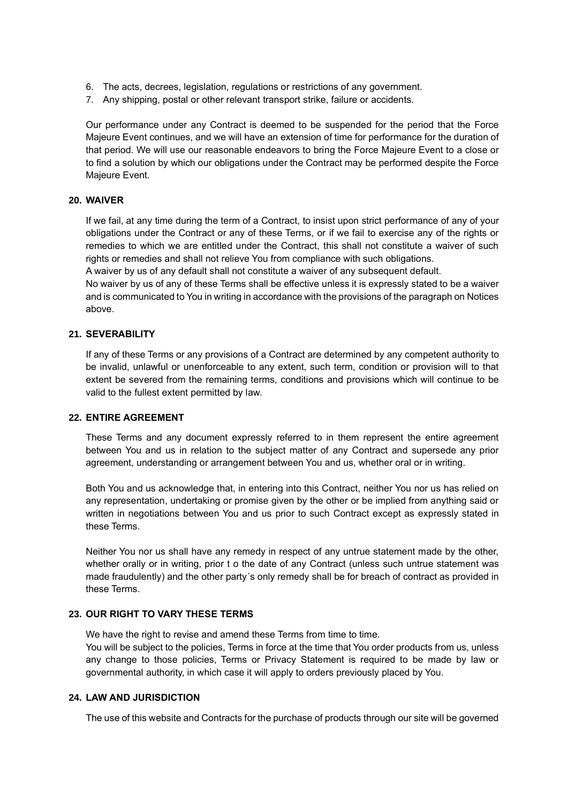- 6. The acts, decrees, legislation, regulations or restrictions of any government.
- 7. Any shipping, postal or other relevant transport strike, failure or accidents.

Our performance under any Contract is deemed to be suspended for the period that the Force Majeure Event continues, and we will have an extension of time for performance for the duration of that period. We will use our reasonable endeavors to bring the Force Majeure Event to a close or to find a solution by which our obligations under the Contract may be performed despite the Force Majeure Event.

### **20. WAIVER**

If we fail, at any time during the term of a Contract, to insist upon strict performance of any of your obligations under the Contract or any of these Terms, or if we fail to exercise any of the rights or remedies to which we are entitled under the Contract, this shall not constitute a waiver of such rights or remedies and shall not relieve You from compliance with such obligations.

A waiver by us of any default shall not constitute a waiver of any subsequent default.

No waiver by us of any of these Terms shall be effective unless it is expressly stated to be a waiver and is communicated to You in writing in accordance with the provisions of the paragraph on Notices above.

# **21. SEVERABILITY**

If any of these Terms or any provisions of a Contract are determined by any competent authority to be invalid, unlawful or unenforceable to any extent, such term, condition or provision will to that extent be severed from the remaining terms, conditions and provisions which will continue to be valid to the fullest extent permitted by law.

#### **22. ENTIRE AGREEMENT**

These Terms and any document expressly referred to in them represent the entire agreement between You and us in relation to the subject matter of any Contract and supersede any prior agreement, understanding or arrangement between You and us, whether oral or in writing.

Both You and us acknowledge that, in entering into this Contract, neither You nor us has relied on any representation, undertaking or promise given by the other or be implied from anything said or written in negotiations between You and us prior to such Contract except as expressly stated in these Terms.

Neither You nor us shall have any remedy in respect of any untrue statement made by the other, whether orally or in writing, prior t o the date of any Contract (unless such untrue statement was made fraudulently) and the other party´s only remedy shall be for breach of contract as provided in these Terms.

### **23. OUR RIGHT TO VARY THESE TERMS**

We have the right to revise and amend these Terms from time to time.

You will be subject to the policies, Terms in force at the time that You order products from us, unless any change to those policies, Terms or Privacy Statement is required to be made by law or governmental authority, in which case it will apply to orders previously placed by You.

#### **24. LAW AND JURISDICTION**

The use of this website and Contracts for the purchase of products through our site will be governed